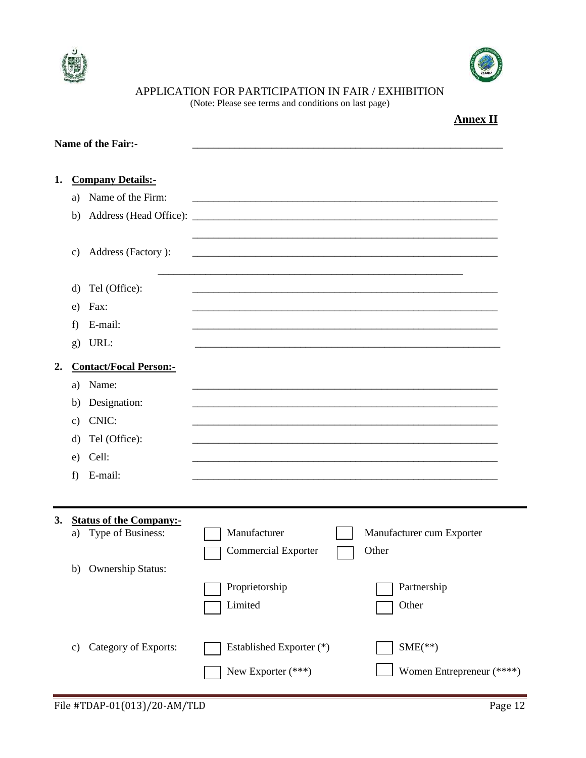



APPLICATION FOR PARTICIPATION IN FAIR / EXHIBITION

(Note: Please see terms and conditions on last page)

|    |                 |                                |                            | <b>Annex II</b>           |  |
|----|-----------------|--------------------------------|----------------------------|---------------------------|--|
|    |                 | <b>Name of the Fair:-</b>      |                            |                           |  |
| 1. |                 | <b>Company Details:-</b>       |                            |                           |  |
|    | a)              | Name of the Firm:              |                            |                           |  |
|    | b)              |                                |                            |                           |  |
|    | c)              | Address (Factory):             |                            |                           |  |
|    | d)              | Tel (Office):                  |                            |                           |  |
|    | e)              | Fax:                           |                            |                           |  |
|    | f)              | E-mail:                        |                            |                           |  |
|    | g)              | URL:                           |                            |                           |  |
| 2. |                 | <b>Contact/Focal Person:-</b>  |                            |                           |  |
|    | a)              | Name:                          |                            |                           |  |
|    | b)              | Designation:                   |                            |                           |  |
|    | $\mathcal{C}$ ) | CNIC:                          |                            |                           |  |
|    | d)              | Tel (Office):                  |                            |                           |  |
|    | e)              | Cell:                          |                            |                           |  |
|    | f)              | E-mail:                        |                            |                           |  |
|    |                 |                                |                            |                           |  |
| 3. |                 | <b>Status of the Company:-</b> |                            |                           |  |
|    | a)              | Type of Business:              | Manufacturer               | Manufacturer cum Exporter |  |
|    |                 |                                | <b>Commercial Exporter</b> | Other                     |  |
|    | b)              | <b>Ownership Status:</b>       |                            |                           |  |
|    |                 |                                | Proprietorship             | Partnership               |  |
|    |                 |                                | Limited                    | Other                     |  |
|    |                 |                                |                            |                           |  |
|    | c)              | Category of Exports:           | Established Exporter (*)   | $SME(**)$                 |  |
|    |                 |                                | New Exporter (***)         | Women Entrepreneur (****) |  |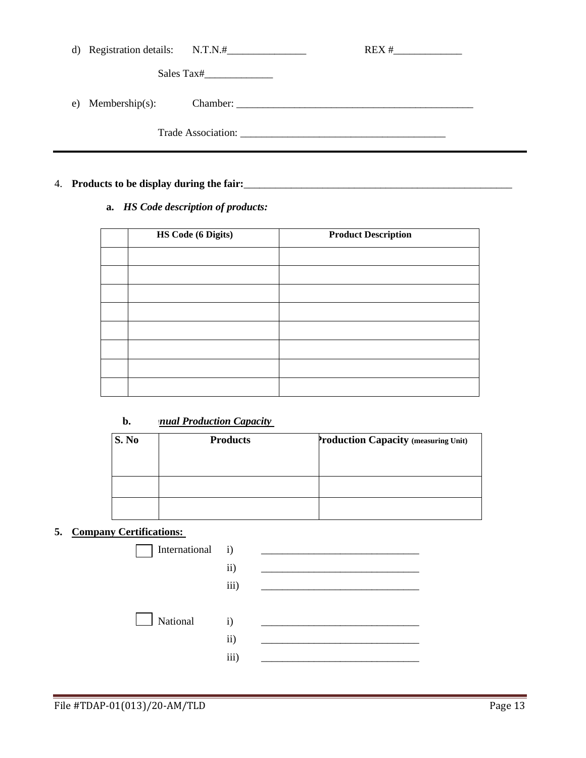|    | d) Registration details: $N.T.N.#$ |            | REX # |  |
|----|------------------------------------|------------|-------|--|
|    |                                    | Sales Tax# |       |  |
| e) | $M$ embership $(s)$ :              |            |       |  |
|    |                                    |            |       |  |

## 4. **Products to be display during the fair:**\_\_\_\_\_\_\_\_\_\_\_\_\_\_\_\_\_\_\_\_\_\_\_\_\_\_\_\_\_\_\_\_\_\_\_\_\_\_\_\_\_\_\_\_\_\_\_\_\_\_\_

**a.** *HS Code description of products:*

| HS Code (6 Digits) | <b>Product Description</b> |
|--------------------|----------------------------|
|                    |                            |
|                    |                            |
|                    |                            |
|                    |                            |
|                    |                            |
|                    |                            |
|                    |                            |
|                    |                            |

# **b.** *<u>nual Production Capacity</u>*

| Production Capacity (measuring Unit) |
|--------------------------------------|
|                                      |
|                                      |
|                                      |
|                                      |
|                                      |

## **5. Company Certifications:**

| International i) |                                       |  |
|------------------|---------------------------------------|--|
|                  | $\mathbf{ii}$                         |  |
|                  | iii)                                  |  |
| National         | $\mathbf{i}$<br>$\mathbf{ii}$<br>iii) |  |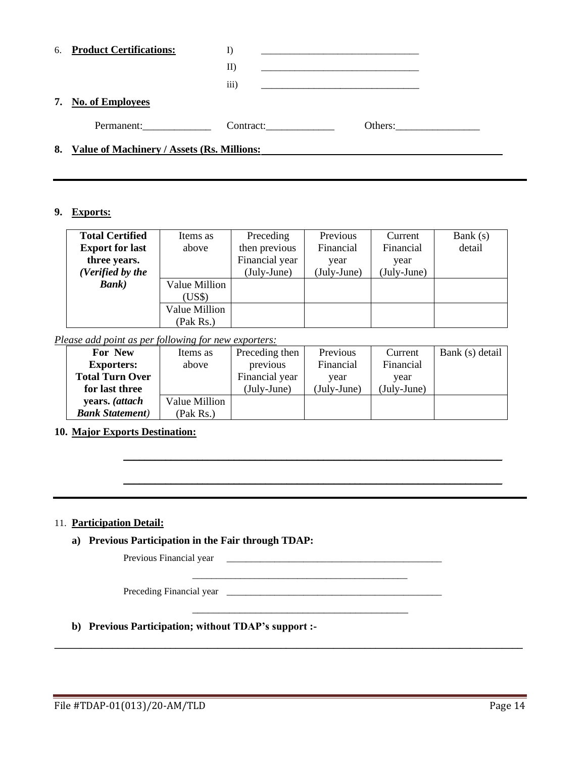| 6. Product Certifications:                    |           |         |  |  |
|-----------------------------------------------|-----------|---------|--|--|
|                                               | $\rm{II}$ |         |  |  |
|                                               | (111)     |         |  |  |
| 7. No. of Employees                           |           |         |  |  |
| Permanent:                                    | Contract: | Others: |  |  |
| 8. Value of Machinery / Assets (Rs. Millions: |           |         |  |  |

#### **9. Exports:**

| <b>Total Certified</b> | Items as      | Preceding      | Previous    | Current     | Bank $(s)$ |
|------------------------|---------------|----------------|-------------|-------------|------------|
| <b>Export for last</b> | above         | then previous  | Financial   | Financial   | detail     |
| three years.           |               | Financial year | year        | year        |            |
| (Verified by the       |               | (July-June)    | (July-June) | (July-June) |            |
| <b>Bank</b> )          | Value Million |                |             |             |            |
|                        | (US\$)        |                |             |             |            |
|                        | Value Million |                |             |             |            |
|                        | (Pak Rs.)     |                |             |             |            |

### *Please add point as per following for new exporters:*

| For New                 | Items as      | Preceding then | Previous    | Current     | Bank (s) detail |
|-------------------------|---------------|----------------|-------------|-------------|-----------------|
| <b>Exporters:</b>       | above         | previous       | Financial   | Financial   |                 |
| <b>Total Turn Over</b>  |               | Financial year | vear        | vear        |                 |
| for last three          |               | (July-June)    | (July-June) | (July-June) |                 |
| years. (attach          | Value Million |                |             |             |                 |
| <b>Bank Statement</b> ) | (Pak Rs.)     |                |             |             |                 |

\_\_\_\_\_\_\_\_\_\_\_\_\_\_\_\_\_\_\_\_\_\_\_\_\_\_\_\_\_\_\_\_\_\_\_\_\_\_\_\_\_\_\_\_\_\_\_\_\_\_\_\_\_\_\_\_\_\_\_\_\_\_\_\_\_\_\_\_\_\_\_\_

\_\_\_\_\_\_\_\_\_\_\_\_\_\_\_\_\_\_\_\_\_\_\_\_\_\_\_\_\_\_\_\_\_\_\_\_\_\_\_\_\_\_\_\_\_\_\_\_\_\_\_\_\_\_\_\_\_\_\_\_\_\_\_\_\_\_\_\_\_\_\_\_

\_\_\_\_\_\_\_\_\_\_\_\_\_\_\_\_\_\_\_\_\_\_\_\_\_\_\_\_\_\_\_\_\_\_\_\_\_\_\_\_\_\_\_\_\_

\_\_\_\_\_\_\_\_\_\_\_\_\_\_\_\_\_\_\_\_\_\_\_\_\_\_\_\_\_\_\_\_\_\_\_\_\_\_\_\_\_

**\_\_\_\_\_\_\_\_\_\_\_\_\_\_\_\_\_\_\_\_\_\_\_\_\_\_\_\_\_\_\_\_\_\_\_\_\_\_\_\_\_\_\_\_\_\_\_\_\_\_\_\_\_\_\_\_\_\_\_\_\_\_\_\_\_\_\_\_\_\_\_\_\_\_\_\_\_\_\_\_\_\_\_\_\_\_\_\_\_**

# **10. Major Exports Destination:**

#### 11. **Participation Detail:**

## **a) Previous Participation in the Fair through TDAP:**

Previous Financial year

Preceding Financial year \_\_\_\_\_\_\_\_\_\_\_\_\_\_\_\_\_\_\_\_\_\_\_\_\_\_\_\_\_\_\_\_\_\_\_\_\_\_\_\_\_\_\_\_\_

### **b) Previous Participation; without TDAP's support :-**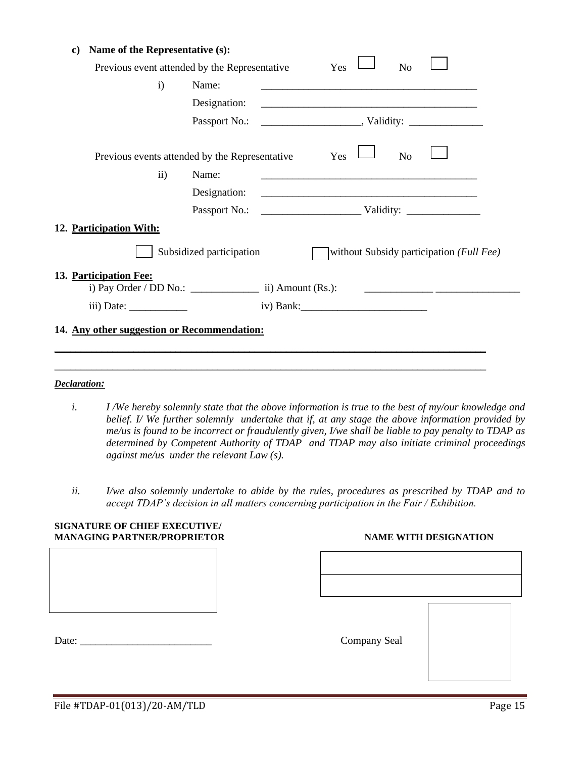| Name of the Representative (s):<br>C)          |                          |                                                                                                                       |
|------------------------------------------------|--------------------------|-----------------------------------------------------------------------------------------------------------------------|
| Previous event attended by the Representative  |                          | Yes<br>N <sub>o</sub>                                                                                                 |
| $\mathbf{i}$                                   | Name:                    |                                                                                                                       |
|                                                | Designation:             | <u> 1989 - Johann Harry Harry Harry Harry Harry Harry Harry Harry Harry Harry Harry Harry Harry Harry Harry Harry</u> |
|                                                |                          |                                                                                                                       |
| Previous events attended by the Representative |                          | Yes<br>N <sub>o</sub>                                                                                                 |
| $\mathbf{ii}$                                  | Name:                    | <u> 1989 - Johann Stoff, amerikansk politiker (d. 1989)</u>                                                           |
|                                                | Designation:             | <u> 2000 - Andrea Andrews, Amerikaansk politiker (d. 1982)</u>                                                        |
|                                                |                          |                                                                                                                       |
| 12. Participation With:                        |                          |                                                                                                                       |
|                                                | Subsidized participation | without Subsidy participation (Full Fee)                                                                              |
| 13. Participation Fee:                         |                          | <u> 1980 - Jan Barnett, amerikansk politiker (d. 1980)</u>                                                            |
|                                                |                          |                                                                                                                       |
| 14. Any other suggestion or Recommendation:    |                          |                                                                                                                       |
|                                                |                          |                                                                                                                       |

#### *Declaration:*

- *i. I /We hereby solemnly state that the above information is true to the best of my/our knowledge and belief. I/ We further solemnly undertake that if, at any stage the above information provided by me/us is found to be incorrect or fraudulently given, I/we shall be liable to pay penalty to TDAP as determined by Competent Authority of TDAP and TDAP may also initiate criminal proceedings against me/us under the relevant Law (s).*
- *ii. I/we also solemnly undertake to abide by the rules, procedures as prescribed by TDAP and to accept TDAP's decision in all matters concerning participation in the Fair / Exhibition.*

| <b>SIGNATURE OF CHIEF EXECUTIVE/</b><br><b>MANAGING PARTNER/PROPRIETOR</b> |              | <b>NAME WITH DESIGNATION</b> |
|----------------------------------------------------------------------------|--------------|------------------------------|
|                                                                            |              |                              |
| Date:                                                                      | Company Seal |                              |